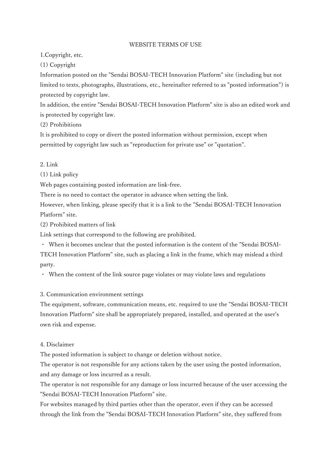## WEBSITE TERMS OF USE

1.Copyright, etc.

(1) Copyright

Information posted on the "Sendai BOSAI-TECH Innovation Platform" site (including but not limited to texts, photographs, illustrations, etc., hereinafter referred to as "posted information") is protected by copyright law.

In addition, the entire "Sendai BOSAI-TECH Innovation Platform" site is also an edited work and is protected by copyright law.

(2) Prohibitions

It is prohibited to copy or divert the posted information without permission, except when permitted by copyright law such as "reproduction for private use" or "quotation".

2. Link

(1) Link policy

Web pages containing posted information are link-free.

There is no need to contact the operator in advance when setting the link.

However, when linking, please specify that it is a link to the "Sendai BOSAI-TECH Innovation Platform" site.

(2) Prohibited matters of link

Link settings that correspond to the following are prohibited.

・ When it becomes unclear that the posted information is the content of the "Sendai BOSAI-

TECH Innovation Platform" site, such as placing a link in the frame, which may mislead a third party.

・ When the content of the link source page violates or may violate laws and regulations

## 3. Communication environment settings

The equipment, software, communication means, etc. required to use the "Sendai BOSAI-TECH Innovation Platform" site shall be appropriately prepared, installed, and operated at the user's own risk and expense.

## 4. Disclaimer

The posted information is subject to change or deletion without notice.

The operator is not responsible for any actions taken by the user using the posted information, and any damage or loss incurred as a result.

The operator is not responsible for any damage or loss incurred because of the user accessing the "Sendai BOSAI-TECH Innovation Platform" site.

For websites managed by third parties other than the operator, even if they can be accessed through the link from the "Sendai BOSAI-TECH Innovation Platform" site, they suffered from